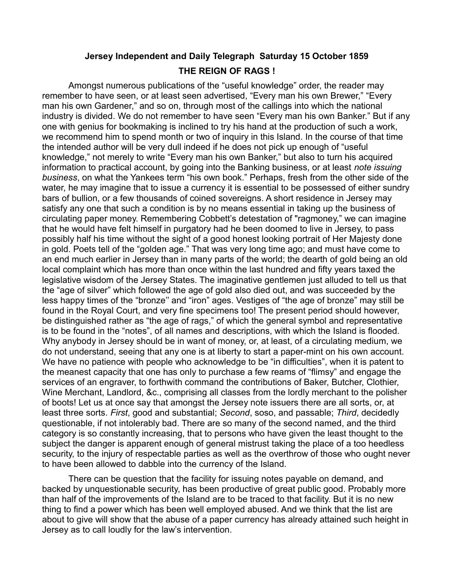### **Jersey Independent and Daily Telegraph Saturday 15 October 1859 THE REIGN OF RAGS !**

Amongst numerous publications of the "useful knowledge" order, the reader may remember to have seen, or at least seen advertised, "Every man his own Brewer," "Every man his own Gardener," and so on, through most of the callings into which the national industry is divided. We do not remember to have seen "Every man his own Banker." But if any one with genius for bookmaking is inclined to try his hand at the production of such a work, we recommend him to spend month or two of inquiry in this Island. In the course of that time the intended author will be very dull indeed if he does not pick up enough of "useful knowledge," not merely to write "Every man his own Banker," but also to turn his acquired information to practical account, by going into the Banking business, or at least *note issuing business*, on what the Yankees term "his own book." Perhaps, fresh from the other side of the water, he may imagine that to issue a currency it is essential to be possessed of either sundry bars of bullion, or a few thousands of coined sovereigns. A short residence in Jersey may satisfy any one that such a condition is by no means essential in taking up the business of circulating paper money. Remembering Cobbett's detestation of "ragmoney," we can imagine that he would have felt himself in purgatory had he been doomed to live in Jersey, to pass possibly half his time without the sight of a good honest looking portrait of Her Majesty done in gold. Poets tell of the "golden age." That was very long time ago; and must have come to an end much earlier in Jersey than in many parts of the world; the dearth of gold being an old local complaint which has more than once within the last hundred and fifty years taxed the legislative wisdom of the Jersey States. The imaginative gentlemen just alluded to tell us that the "age of silver" which followed the age of gold also died out, and was succeeded by the less happy times of the "bronze'' and "iron" ages. Vestiges of "the age of bronze" may still be found in the Royal Court, and very fine specimens too! The present period should however, be distinguished rather as "the age of rags," of which the general symbol and representative is to be found in the "notes", of all names and descriptions, with which the Island is flooded. Why anybody in Jersey should be in want of money, or, at least, of a circulating medium, we do not understand, seeing that any one is at liberty to start a paper-mint on his own account. We have no patience with people who acknowledge to be "in difficulties", when it is patent to the meanest capacity that one has only to purchase a few reams of "flimsy" and engage the services of an engraver, to forthwith command the contributions of Baker, Butcher, Clothier, Wine Merchant, Landlord, &c., comprising all classes from the lordly merchant to the polisher of boots! Let us at once say that amongst the Jersey note issuers there are all sorts, or, at least three sorts. *First*, good and substantial; *Second*, soso, and passable; *Third*, decidedly questionable, if not intolerably bad. There are so many of the second named, and the third category is so constantly increasing, that to persons who have given the least thought to the subject the danger is apparent enough of general mistrust taking the place of a too heedless security, to the injury of respectable parties as well as the overthrow of those who ought never to have been allowed to dabble into the currency of the Island.

There can be question that the facility for issuing notes payable on demand, and backed by unquestionable security, has been productive of great public good. Probably more than half of the improvements of the Island are to be traced to that facility. But it is no new thing to find a power which has been well employed abused. And we think that the list are about to give will show that the abuse of a paper currency has already attained such height in Jersey as to call loudly for the law's intervention.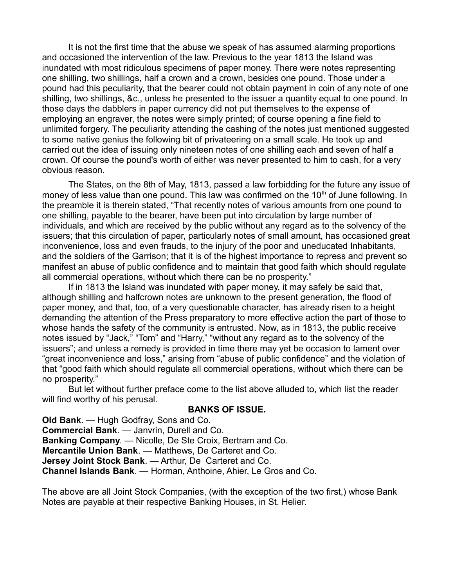It is not the first time that the abuse we speak of has assumed alarming proportions and occasioned the intervention of the law. Previous to the year 1813 the Island was inundated with most ridiculous specimens of paper money. There were notes representing one shilling, two shillings, half a crown and a crown, besides one pound. Those under a pound had this peculiarity, that the bearer could not obtain payment in coin of any note of one shilling, two shillings, &c., unless he presented to the issuer a quantity equal to one pound. In those days the dabblers in paper currency did not put themselves to the expense of employing an engraver, the notes were simply printed; of course opening a fine field to unlimited forgery. The peculiarity attending the cashing of the notes just mentioned suggested to some native genius the following bit of privateering on a small scale. He took up and carried out the idea of issuing only nineteen notes of one shilling each and seven of half a crown. Of course the pound's worth of either was never presented to him to cash, for a very obvious reason.

The States, on the 8th of May, 1813, passed a law forbidding for the future any issue of money of less value than one pound. This law was confirmed on the 10<sup>th</sup> of June following. In the preamble it is therein stated, "That recently notes of various amounts from one pound to one shilling, payable to the bearer, have been put into circulation by large number of individuals, and which are received by the public without any regard as to the solvency of the issuers; that this circulation of paper, particularly notes of small amount, has occasioned great inconvenience, loss and even frauds, to the injury of the poor and uneducated Inhabitants, and the soldiers of the Garrison; that it is of the highest importance to repress and prevent so manifest an abuse of public confidence and to maintain that good faith which should regulate all commercial operations, without which there can be no prosperity."

If in 1813 the Island was inundated with paper money, it may safely be said that, although shilling and halfcrown notes are unknown to the present generation, the flood of paper money, and that, too, of a very questionable character, has already risen to a height demanding the attention of the Press preparatory to more effective action the part of those to whose hands the safety of the community is entrusted. Now, as in 1813, the public receive notes issued by "Jack," "Tom" and "Harry," "without any regard as to the solvency of the issuers"; and unless a remedy is provided in time there may yet be occasion to lament over "great inconvenience and loss," arising from "abuse of public confidence" and the violation of that "good faith which should regulate all commercial operations, without which there can be no prosperity."

But let without further preface come to the list above alluded to, which list the reader will find worthy of his perusal.

#### **BANKS OF ISSUE.**

**Old Bank**. — Hugh Godfray, Sons and Co. **Commercial Bank**. — Janvrin, Durell and Co. **Banking Company**. — Nicolle, De Ste Croix, Bertram and Co. **Mercantile Union Bank**. — Matthews, De Carteret and Co. **Jersey Joint Stock Bank**. — Arthur, De Carteret and Co. **Channel Islands Bank**. — Horman, Anthoine, Ahier, Le Gros and Co.

The above are all Joint Stock Companies, (with the exception of the two first,) whose Bank Notes are payable at their respective Banking Houses, in St. Helier.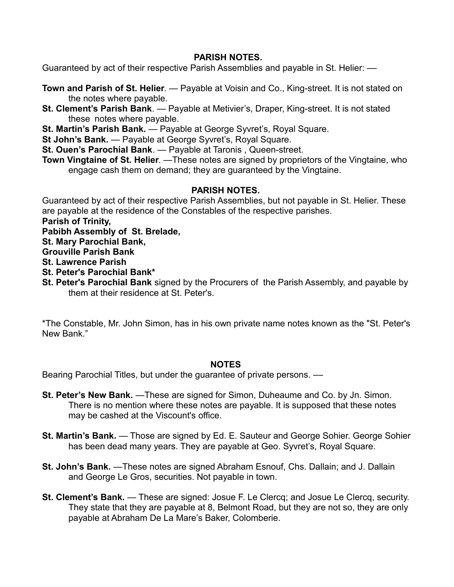#### **PARISH NOTES.**

Guaranteed by act of their respective Parish Assemblies and payable in St. Helier: ––

- **Town and Parish of St. Helier**. Payable at Voisin and Co., King-street. It is not stated on the notes where payable.
- **St. Clement's Parish Bank**. Payable at Metivier's, Draper, King-street. It is not stated these notes where payable.
- **St. Martin's Parish Bank.** Payable at George Syvret's, Royal Square.
- **St John's Bank.** Payable at George Syvret's, Royal Square.
- **St. Ouen's Parochial Bank**. Payable at Taronis , Queen-street.
- **Town Vingtaine of St. Helier**. —These notes are signed by proprietors of the Vingtaine, who engage cash them on demand; they are guaranteed by the Vingtaine.

#### **PARISH NOTES.**

Guaranteed by act of their respective Parish Assemblies, but not payable in St. Helier. These are payable at the residence of the Constables of the respective parishes.

**Parish of Trinity,**

**Pabibh Assembly of St. Brelade,**

**St. Mary Parochial Bank,**

**Grouville Parish Bank**

**St. Lawrence Parish**

- **St. Peter's Parochial Bank\***
- **St. Peter's Parochial Bank** signed by the Procurers of the Parish Assembly, and payable by them at their residence at St. Peter's.

\*The Constable, Mr. John Simon, has in his own private name notes known as the "St. Peter's New Bank."

#### **NOTES**

Bearing Parochial Titles, but under the guarantee of private persons. ––

- **St. Peter's New Bank.** —These are signed for Simon, Duheaume and Co. by Jn. Simon. There is no mention where these notes are payable. It is supposed that these notes may be cashed at the Viscount's office.
- **St. Martin's Bank.** Those are signed by Ed. E. Sauteur and George Sohier. George Sohier has been dead many years. They are payable at Geo. Syvret's, Royal Square.
- **St. John's Bank.** —These notes are signed Abraham Esnouf, Chs. Dallain; and J. Dallain and George Le Gros, securities. Not payable in town.
- **St. Clement's Bank.** These are signed: Josue F. Le Clercq; and Josue Le Clercq, security. They state that they are payable at 8, Belmont Road, but they are not so, they are only payable at Abraham De La Mare's Baker, Colomberie.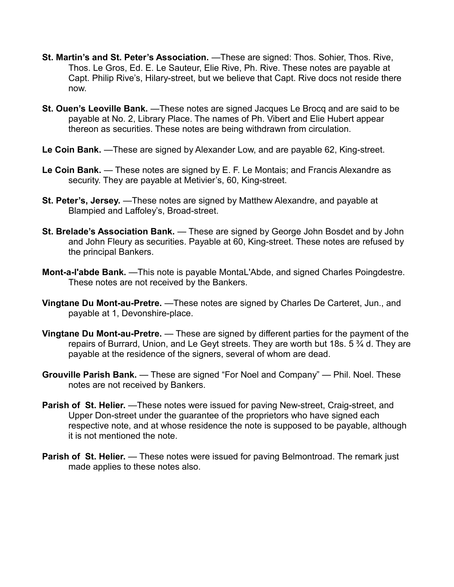- **St. Martin's and St. Peter's Association.** —These are signed: Thos. Sohier, Thos. Rive, Thos. Le Gros, Ed. E. Le Sauteur, Elie Rive, Ph. Rive. These notes are payable at Capt. Philip Rive's, Hilary-street, but we believe that Capt. Rive docs not reside there now.
- **St. Ouen's Leoville Bank.** These notes are signed Jacques Le Brocq and are said to be payable at No. 2, Library Place. The names of Ph. Vibert and Elie Hubert appear thereon as securities. These notes are being withdrawn from circulation.
- **Le Coin Bank.** —These are signed by Alexander Low, and are payable 62, King-street.
- Le Coin Bank. These notes are signed by E. F. Le Montais; and Francis Alexandre as security. They are payable at Metivier's, 60, King-street.
- **St. Peter's, Jersey.** —These notes are signed by Matthew Alexandre, and payable at Blampied and Laffoley's, Broad-street.
- **St. Brelade's Association Bank.** These are signed by George John Bosdet and by John and John Fleury as securities. Payable at 60, King-street. These notes are refused by the principal Bankers.
- **Mont-a-l'abde Bank.** —This note is payable MontaL'Abde, and signed Charles Poingdestre. These notes are not received by the Bankers.
- **Vingtane Du Mont-au-Pretre.** —These notes are signed by Charles De Carteret, Jun., and payable at 1, Devonshire-place.
- **Vingtane Du Mont-au-Pretre.** These are signed by different parties for the payment of the repairs of Burrard, Union, and Le Geyt streets. They are worth but 18s,  $5\frac{3}{4}$  d. They are payable at the residence of the signers, several of whom are dead.
- **Grouville Parish Bank.** These are signed "For Noel and Company" Phil. Noel. These notes are not received by Bankers.
- **Parish of St. Helier.** —These notes were issued for paving New-street, Craig-street, and Upper Don-street under the guarantee of the proprietors who have signed each respective note, and at whose residence the note is supposed to be payable, although it is not mentioned the note.
- **Parish of St. Helier.** These notes were issued for paving Belmontroad. The remark just made applies to these notes also.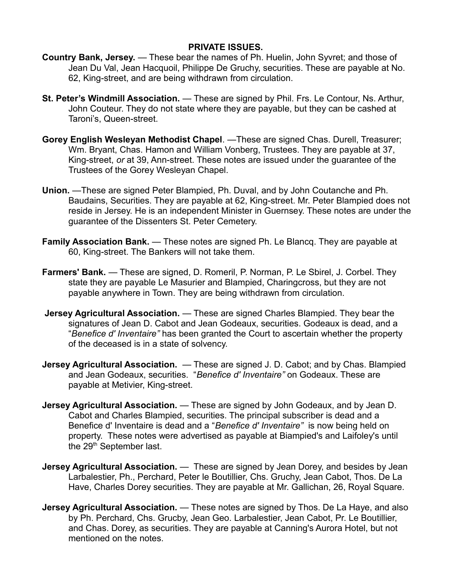#### **PRIVATE ISSUES.**

- **Country Bank, Jersey.** These bear the names of Ph. Huelin, John Syvret; and those of Jean Du Val, Jean Hacquoil, Philippe De Gruchy, securities. These are payable at No. 62, King-street, and are being withdrawn from circulation.
- **St. Peter's Windmill Association.** These are signed by Phil. Frs. Le Contour, Ns. Arthur, John Couteur. They do not state where they are payable, but they can be cashed at Taroni's, Queen-street.
- **Gorey English Wesleyan Methodist Chapel**. —These are signed Chas. Durell, Treasurer; Wm. Bryant, Chas. Hamon and William Vonberg, Trustees. They are payable at 37, King-street, *or* at 39, Ann-street. These notes are issued under the guarantee of the Trustees of the Gorey Wesleyan Chapel.
- **Union.** —These are signed Peter Blampied, Ph. Duval, and by John Coutanche and Ph. Baudains, Securities. They are payable at 62, King-street. Mr. Peter Blampied does not reside in Jersey. He is an independent Minister in Guernsey. These notes are under the guarantee of the Dissenters St. Peter Cemetery.
- **Family Association Bank.** These notes are signed Ph. Le Blancq. They are payable at 60, King-street. The Bankers will not take them.
- **Farmers' Bank.** These are signed, D. Romeril, P. Norman, P. Le Sbirel, J. Corbel. They state they are payable Le Masurier and Blampied, Charingcross, but they are not payable anywhere in Town. They are being withdrawn from circulation.
- **Jersey Agricultural Association.** These are signed Charles Blampied. They bear the signatures of Jean D. Cabot and Jean Godeaux, securities. Godeaux is dead, and a "*Benefice d' Inventaire"* has been granted the Court to ascertain whether the property of the deceased is in a state of solvency.
- **Jersey Agricultural Association.** These are signed J. D. Cabot; and by Chas. Blampied and Jean Godeaux, securities. "*Benefice d' Inventaire"* on Godeaux. These are payable at Metivier, King-street.
- **Jersey Agricultural Association.** These are signed by John Godeaux, and by Jean D. Cabot and Charles Blampied, securities. The principal subscriber is dead and a Benefice d' Inventaire is dead and a "*Benefice d' Inventaire"* is now being held on property. These notes were advertised as payable at Biampied's and Laifoley's until the 29<sup>th</sup> September last.
- **Jersey Agricultural Association.** These are signed by Jean Dorey, and besides by Jean Larbalestier, Ph., Perchard, Peter le Boutillier, Chs. Gruchy, Jean Cabot, Thos. De La Have, Charles Dorey securities. They are payable at Mr. Gallichan, 26, Royal Square.
- **Jersey Agricultural Association.** These notes are signed by Thos. De La Haye, and also by Ph. Perchard, Chs. Grucby, Jean Geo. Larbalestier, Jean Cabot, Pr. Le Boutillier, and Chas. Dorey, as securities. They are payable at Canning's Aurora Hotel, but not mentioned on the notes.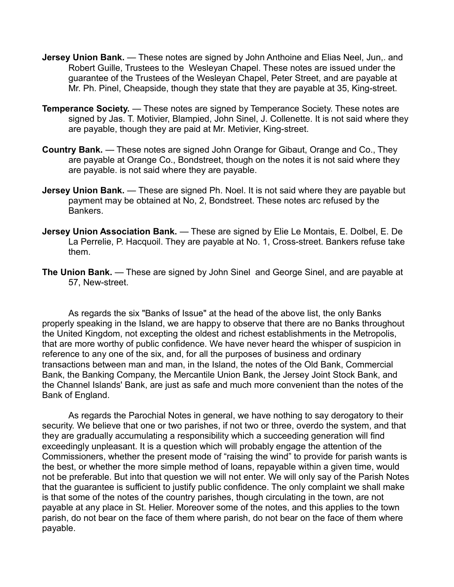- **Jersey Union Bank.** These notes are signed by John Anthoine and Elias Neel, Jun, and Robert Guille, Trustees to the Wesleyan Chapel. These notes are issued under the guarantee of the Trustees of the Wesleyan Chapel, Peter Street, and are payable at Mr. Ph. Pinel, Cheapside, though they state that they are payable at 35, King-street.
- **Temperance Society.** These notes are signed by Temperance Society. These notes are signed by Jas. T. Motivier, Blampied, John Sinel, J. Collenette. It is not said where they are payable, though they are paid at Mr. Metivier, King-street.
- **Country Bank.** These notes are signed John Orange for Gibaut, Orange and Co., They are payable at Orange Co., Bondstreet, though on the notes it is not said where they are payable. is not said where they are payable.
- **Jersey Union Bank.** These are signed Ph. Noel. It is not said where they are payable but payment may be obtained at No, 2, Bondstreet. These notes arc refused by the Bankers.
- **Jersey Union Association Bank.** These are signed by Elie Le Montais, E. Dolbel, E. De La Perrelie, P. Hacquoil. They are payable at No. 1, Cross-street. Bankers refuse take them.
- **The Union Bank.**  These are signed by John Sinel and George Sinel, and are payable at 57, New-street.

As regards the six "Banks of Issue" at the head of the above list, the only Banks properly speaking in the Island, we are happy to observe that there are no Banks throughout the United Kingdom, not excepting the oldest and richest establishments in the Metropolis, that are more worthy of public confidence. We have never heard the whisper of suspicion in reference to any one of the six, and, for all the purposes of business and ordinary transactions between man and man, in the Island, the notes of the Old Bank, Commercial Bank, the Banking Company, the Mercantile Union Bank, the Jersey Joint Stock Bank, and the Channel Islands' Bank, are just as safe and much more convenient than the notes of the Bank of England.

As regards the Parochial Notes in general, we have nothing to say derogatory to their security. We believe that one or two parishes, if not two or three, overdo the system, and that they are gradually accumulating a responsibility which a succeeding generation will find exceedingly unpleasant. It is a question which will probably engage the attention of the Commissioners, whether the present mode of "raising the wind" to provide for parish wants is the best, or whether the more simple method of loans, repayable within a given time, would not be preferable. But into that question we will not enter. We will only say of the Parish Notes that the guarantee is sufficient to justify public confidence. The only complaint we shall make is that some of the notes of the country parishes, though circulating in the town, are not payable at any place in St. Helier. Moreover some of the notes, and this applies to the town parish, do not bear on the face of them where parish, do not bear on the face of them where payable.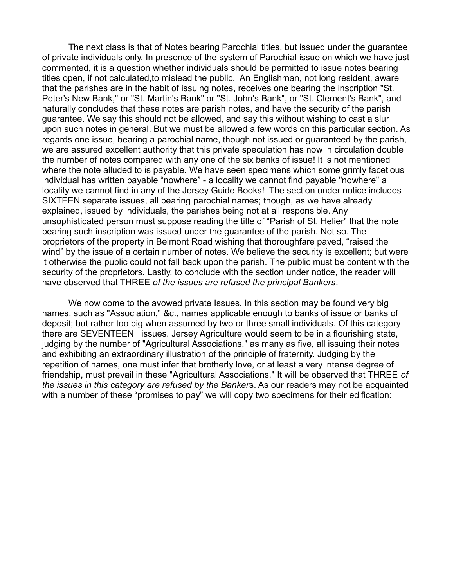The next class is that of Notes bearing Parochial titles, but issued under the guarantee of private individuals only. In presence of the system of Parochial issue on which we have just commented, it is a question whether individuals should be permitted to issue notes bearing titles open, if not calculated,to mislead the public. An Englishman, not long resident, aware that the parishes are in the habit of issuing notes, receives one bearing the inscription "St. Peter's New Bank," or "St. Martin's Bank" or "St. John's Bank", or "St. Clement's Bank", and naturally concludes that these notes are parish notes, and have the security of the parish guarantee. We say this should not be allowed, and say this without wishing to cast a slur upon such notes in general. But we must be allowed a few words on this particular section. As regards one issue, bearing a parochial name, though not issued or guaranteed by the parish, we are assured excellent authority that this private speculation has now in circulation double the number of notes compared with any one of the six banks of issue! It is not mentioned where the note alluded to is payable. We have seen specimens which some grimly facetious individual has written payable "nowhere" - a locality we cannot find payable "nowhere" a locality we cannot find in any of the Jersey Guide Books! The section under notice includes SIXTEEN separate issues, all bearing parochial names; though, as we have already explained, issued by individuals, the parishes being not at all responsible. Any unsophisticated person must suppose reading the title of "Parish of St. Helier" that the note bearing such inscription was issued under the guarantee of the parish. Not so. The proprietors of the property in Belmont Road wishing that thoroughfare paved, "raised the wind" by the issue of a certain number of notes. We believe the security is excellent; but were it otherwise the public could not fall back upon the parish. The public must be content with the security of the proprietors. Lastly, to conclude with the section under notice, the reader will have observed that THREE *of the issues are refused the principal Bankers*.

We now come to the avowed private Issues. In this section may be found very big names, such as "Association," &c., names applicable enough to banks of issue or banks of deposit; but rather too big when assumed by two or three small individuals. Of this category there are SEVENTEEN issues. Jersey Agriculture would seem to be in a flourishing state, judging by the number of "Agricultural Associations," as many as five, all issuing their notes and exhibiting an extraordinary illustration of the principle of fraternity. Judging by the repetition of names, one must infer that brotherly love, or at least a very intense degree of friendship, must prevail in these "Agricultural Associations." It will be observed that THREE *of the issues in this category are refused by the Banker*s. As our readers may not be acquainted with a number of these "promises to pay" we will copy two specimens for their edification: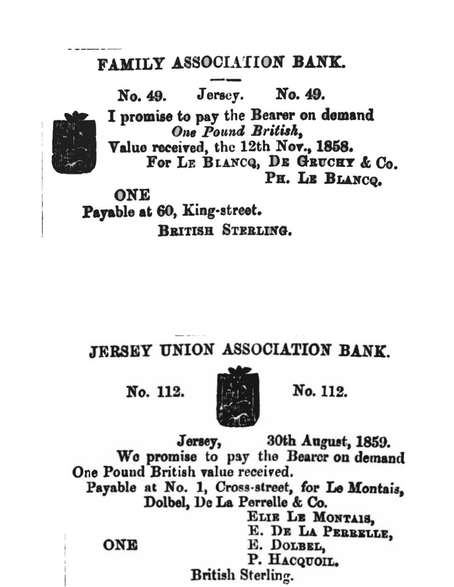# FAMILY ASSOCIATION BANK.



BRITISH STERLING.

## JERSEY UNION ASSOCIATION BANK

No. 112.



No. 112.

Jersey, 30th August, 1859. We promise to pay the Bearcr on demand One Pound British value received. Payable at No. 1, Cross-street, for Le Montais. Dolbel, De La Perrelle & Co. ELIE LE MONTAIS. E. DE LA PERRELLE. ONE E. DOLBEL, P. HACQUOIL. British Sterling.